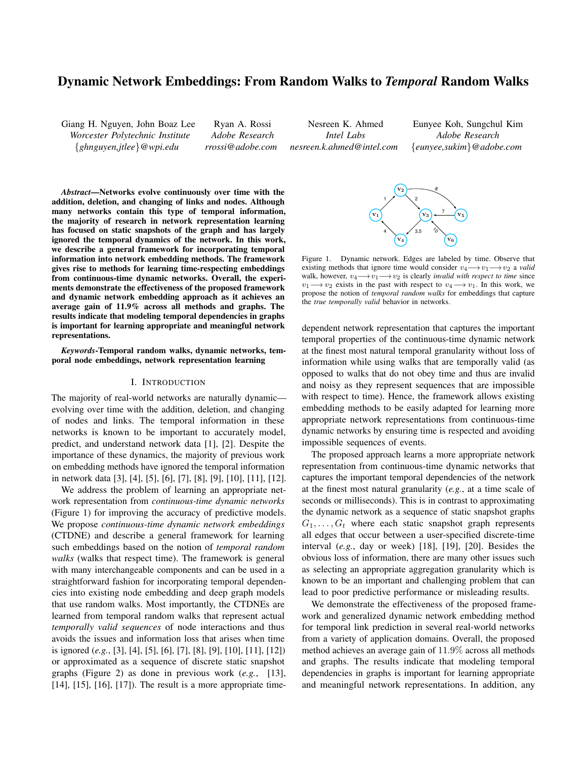# Dynamic Network Embeddings: From Random Walks to *Temporal* Random Walks

Giang H. Nguyen, John Boaz Lee *Worcester Polytechnic Institute* {*ghnguyen,jtlee*}*@wpi.edu*

Ryan A. Rossi *Adobe Research rrossi@adobe.com*

Nesreen K. Ahmed *Intel Labs nesreen.k.ahmed@intel.com*

Eunyee Koh, Sungchul Kim *Adobe Research* {*eunyee,sukim*}*@adobe.com*

*Abstract*—Networks evolve continuously over time with the addition, deletion, and changing of links and nodes. Although many networks contain this type of temporal information, the majority of research in network representation learning has focused on static snapshots of the graph and has largely ignored the temporal dynamics of the network. In this work, we describe a general framework for incorporating temporal information into network embedding methods. The framework gives rise to methods for learning time-respecting embeddings from continuous-time dynamic networks. Overall, the experiments demonstrate the effectiveness of the proposed framework and dynamic network embedding approach as it achieves an average gain of 11.9% across all methods and graphs. The results indicate that modeling temporal dependencies in graphs is important for learning appropriate and meaningful network representations.

*Keywords*-Temporal random walks, dynamic networks, temporal node embeddings, network representation learning

## I. INTRODUCTION

The majority of real-world networks are naturally dynamic evolving over time with the addition, deletion, and changing of nodes and links. The temporal information in these networks is known to be important to accurately model, predict, and understand network data [1], [2]. Despite the importance of these dynamics, the majority of previous work on embedding methods have ignored the temporal information in network data [3], [4], [5], [6], [7], [8], [9], [10], [11], [12].

We address the problem of learning an appropriate network representation from *continuous-time dynamic networks* (Figure 1) for improving the accuracy of predictive models. We propose *continuous-time dynamic network embeddings* (CTDNE) and describe a general framework for learning such embeddings based on the notion of *temporal random walks* (walks that respect time). The framework is general with many interchangeable components and can be used in a straightforward fashion for incorporating temporal dependencies into existing node embedding and deep graph models that use random walks. Most importantly, the CTDNEs are learned from temporal random walks that represent actual *temporally valid sequences* of node interactions and thus avoids the issues and information loss that arises when time is ignored (*e.g.*, [3], [4], [5], [6], [7], [8], [9], [10], [11], [12]) or approximated as a sequence of discrete static snapshot graphs (Figure 2) as done in previous work (*e.g.*, [13], [14], [15], [16], [17]). The result is a more appropriate time-



Figure 1. Dynamic network. Edges are labeled by time. Observe that existing methods that ignore time would consider  $v_4 \rightarrow v_1 \rightarrow v_2$  a *valid* walk, however,  $v_4 \rightarrow v_1 \rightarrow v_2$  is clearly *invalid with respect to time* since  $v_1 \rightarrow v_2$  exists in the past with respect to  $v_4 \rightarrow v_1$ . In this work, we propose the notion of *temporal random walks* for embeddings that capture the *true temporally valid* behavior in networks.

dependent network representation that captures the important temporal properties of the continuous-time dynamic network at the finest most natural temporal granularity without loss of information while using walks that are temporally valid (as opposed to walks that do not obey time and thus are invalid and noisy as they represent sequences that are impossible with respect to time). Hence, the framework allows existing embedding methods to be easily adapted for learning more appropriate network representations from continuous-time dynamic networks by ensuring time is respected and avoiding impossible sequences of events.

The proposed approach learns a more appropriate network representation from continuous-time dynamic networks that captures the important temporal dependencies of the network at the finest most natural granularity (*e.g.*, at a time scale of seconds or milliseconds). This is in contrast to approximating the dynamic network as a sequence of static snapshot graphs  $G_1, \ldots, G_t$  where each static snapshot graph represents all edges that occur between a user-specified discrete-time interval (*e.g.*, day or week) [18], [19], [20]. Besides the obvious loss of information, there are many other issues such as selecting an appropriate aggregation granularity which is known to be an important and challenging problem that can lead to poor predictive performance or misleading results.

We demonstrate the effectiveness of the proposed framework and generalized dynamic network embedding method for temporal link prediction in several real-world networks from a variety of application domains. Overall, the proposed method achieves an average gain of 11.9% across all methods and graphs. The results indicate that modeling temporal dependencies in graphs is important for learning appropriate and meaningful network representations. In addition, any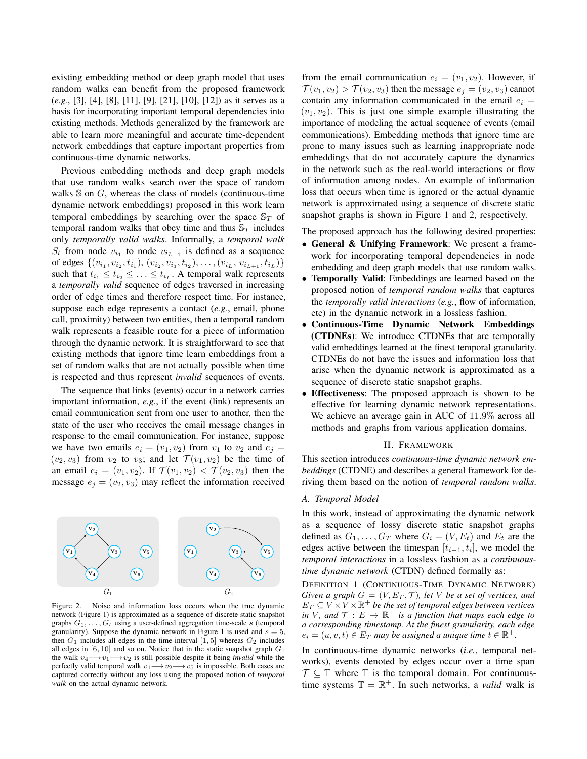existing embedding method or deep graph model that uses random walks can benefit from the proposed framework (*e.g.*, [3], [4], [8], [11], [9], [21], [10], [12]) as it serves as a basis for incorporating important temporal dependencies into existing methods. Methods generalized by the framework are able to learn more meaningful and accurate time-dependent network embeddings that capture important properties from continuous-time dynamic networks.

Previous embedding methods and deep graph models that use random walks search over the space of random walks  $\mathbb S$  on  $G$ , whereas the class of models (continuous-time dynamic network embeddings) proposed in this work learn temporal embeddings by searching over the space  $\mathbb{S}_T$  of temporal random walks that obey time and thus  $\mathbb{S}_T$  includes only *temporally valid walks*. Informally, a *temporal walk*  $S_t$  from node  $v_{i_1}$  to node  $v_{i_{L+1}}$  is defined as a sequence of edges  $\{(v_{i_1}, v_{i_2}, t_{i_1}), (v_{i_2}, v_{i_3}, t_{i_2}), \ldots, (v_{i_L}, v_{i_{L+1}}, t_{i_L})\}$ such that  $t_{i_1} \leq t_{i_2} \leq \ldots \leq t_{i_L}$ . A temporal walk represents a *temporally valid* sequence of edges traversed in increasing order of edge times and therefore respect time. For instance, suppose each edge represents a contact (*e.g.*, email, phone call, proximity) between two entities, then a temporal random walk represents a feasible route for a piece of information through the dynamic network. It is straightforward to see that existing methods that ignore time learn embeddings from a set of random walks that are not actually possible when time is respected and thus represent *invalid* sequences of events.

The sequence that links (events) occur in a network carries important information, *e.g.*, if the event (link) represents an email communication sent from one user to another, then the state of the user who receives the email message changes in response to the email communication. For instance, suppose we have two emails  $e_i = (v_1, v_2)$  from  $v_1$  to  $v_2$  and  $e_j =$  $(v_2, v_3)$  from  $v_2$  to  $v_3$ ; and let  $\mathcal{T}(v_1, v_2)$  be the time of an email  $e_i = (v_1, v_2)$ . If  $\mathcal{T}(v_1, v_2) < \mathcal{T}(v_2, v_3)$  then the message  $e_j = (v_2, v_3)$  may reflect the information received



Figure 2. Noise and information loss occurs when the true dynamic network (Figure 1) is approximated as a sequence of discrete static snapshot graphs  $G_1, \ldots, G_t$  using a user-defined aggregation time-scale s (temporal granularity). Suppose the dynamic network in Figure 1 is used and  $s = 5$ , then  $G_1$  includes all edges in the time-interval [1, 5] whereas  $G_2$  includes all edges in  $[6, 10]$  and so on. Notice that in the static snapshot graph  $G_1$ the walk  $v_4 \rightarrow v_1 \rightarrow v_2$  is still possible despite it being *invalid* while the perfectly valid temporal walk  $v_1 \rightarrow v_2 \rightarrow v_5$  is impossible. Both cases are captured correctly without any loss using the proposed notion of *temporal walk* on the actual dynamic network.

from the email communication  $e_i = (v_1, v_2)$ . However, if  $\mathcal{T}(v_1, v_2) > \mathcal{T}(v_2, v_3)$  then the message  $e_j = (v_2, v_3)$  cannot contain any information communicated in the email  $e_i$  =  $(v_1, v_2)$ . This is just one simple example illustrating the importance of modeling the actual sequence of events (email communications). Embedding methods that ignore time are prone to many issues such as learning inappropriate node embeddings that do not accurately capture the dynamics in the network such as the real-world interactions or flow of information among nodes. An example of information loss that occurs when time is ignored or the actual dynamic network is approximated using a sequence of discrete static snapshot graphs is shown in Figure 1 and 2, respectively.

The proposed approach has the following desired properties:

- General & Unifying Framework: We present a framework for incorporating temporal dependencies in node embedding and deep graph models that use random walks.
- Temporally Valid: Embeddings are learned based on the proposed notion of *temporal random walks* that captures the *temporally valid interactions* (*e.g.*, flow of information, etc) in the dynamic network in a lossless fashion.
- Continuous-Time Dynamic Network Embeddings (CTDNEs): We introduce CTDNEs that are temporally valid embeddings learned at the finest temporal granularity. CTDNEs do not have the issues and information loss that arise when the dynamic network is approximated as a sequence of discrete static snapshot graphs.
- Effectiveness: The proposed approach is shown to be effective for learning dynamic network representations. We achieve an average gain in AUC of 11.9% across all methods and graphs from various application domains.

#### II. FRAMEWORK

This section introduces *continuous-time dynamic network embeddings* (CTDNE) and describes a general framework for deriving them based on the notion of *temporal random walks*.

#### *A. Temporal Model*

In this work, instead of approximating the dynamic network as a sequence of lossy discrete static snapshot graphs defined as  $G_1, \ldots, G_T$  where  $G_i = (V, E_t)$  and  $E_t$  are the edges active between the timespan  $[t_{i-1}, t_i]$ , we model the *temporal interactions* in a lossless fashion as a *continuoustime dynamic network* (CTDN) defined formally as:

DEFINITION 1 (CONTINUOUS-TIME DYNAMIC NETWORK) *Given a graph*  $G = (V, E_T, T)$ *, let* V *be a set of vertices, and*  $E_T \subseteq V \times \dot{V} \times \mathbb{R}^+$  be the set of temporal edges between vertices *in*  $\overline{V}$ , and  $\mathcal{T}: E \to \mathbb{R}^+$  *is a function that maps each edge to a corresponding timestamp. At the finest granularity, each edge*  $e_i = (u, v, t) \in E_T$  may be assigned a unique time  $t \in \mathbb{R}^+$ .

In continuous-time dynamic networks (*i.e.*, temporal networks), events denoted by edges occur over a time span  $\mathcal{T} \subseteq \mathbb{T}$  where  $\mathbb{T}$  is the temporal domain. For continuoustime systems  $\mathbb{T} = \mathbb{R}^+$ . In such networks, a *valid* walk is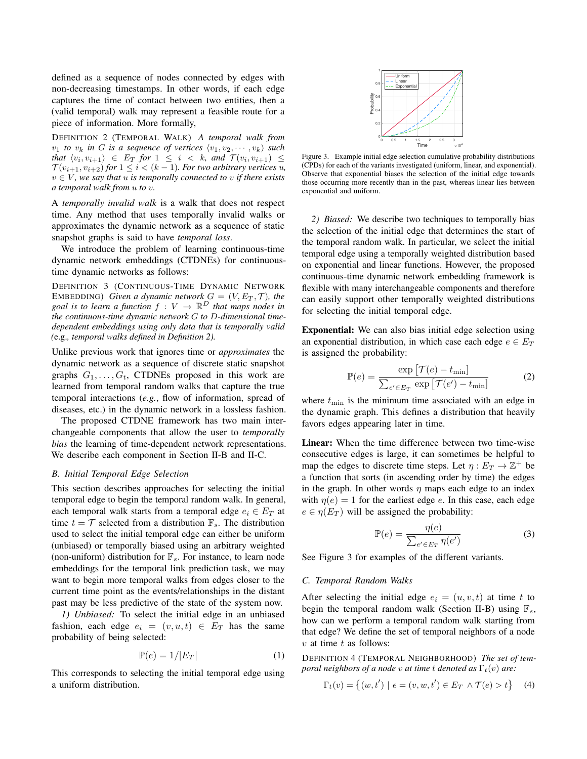defined as a sequence of nodes connected by edges with non-decreasing timestamps. In other words, if each edge captures the time of contact between two entities, then a (valid temporal) walk may represent a feasible route for a piece of information. More formally,

DEFINITION 2 (TEMPORAL WALK) *A temporal walk from*  $v_1$  *to*  $v_k$  *in G is a sequence of vertices*  $\langle v_1, v_2, \cdots, v_k \rangle$  *such*  $that \langle v_i, v_{i+1} \rangle \in E_T$  *for*  $1 \leq i \leq k$ *, and*  $\mathcal{T}(v_i, v_{i+1}) \leq$  $\mathcal{T}(v_{i+1}, v_{i+2})$  *for*  $1 \leq i \leq (k-1)$ *. For two arbitrary vertices u,*  $v \in V$ , we say that u is temporally connected to v if there exists *a temporal walk from* u *to* v*.*

A *temporally invalid walk* is a walk that does not respect time. Any method that uses temporally invalid walks or approximates the dynamic network as a sequence of static snapshot graphs is said to have *temporal loss*.

We introduce the problem of learning continuous-time dynamic network embeddings (CTDNEs) for continuoustime dynamic networks as follows:

DEFINITION 3 (CONTINUOUS-TIME DYNAMIC NETWORK EMBEDDING) *Given a dynamic network*  $G = (V, E_T, \mathcal{T})$ *, the* goal is to learn a function  $f: V \to \mathbb{R}^D$  that maps nodes in *the continuous-time dynamic network* G *to* D*-dimensional timedependent embeddings using only data that is temporally valid (*e.g.*, temporal walks defined in Definition 2).*

Unlike previous work that ignores time or *approximates* the dynamic network as a sequence of discrete static snapshot graphs  $G_1, \ldots, G_t$ , CTDNEs proposed in this work are learned from temporal random walks that capture the true temporal interactions (*e.g.*, flow of information, spread of diseases, etc.) in the dynamic network in a lossless fashion.

The proposed CTDNE framework has two main interchangeable components that allow the user to *temporally bias* the learning of time-dependent network representations. We describe each component in Section II-B and II-C.

## *B. Initial Temporal Edge Selection*

This section describes approaches for selecting the initial temporal edge to begin the temporal random walk. In general, each temporal walk starts from a temporal edge  $e_i \in E_T$  at time  $t = \mathcal{T}$  selected from a distribution  $\mathbb{F}_s$ . The distribution used to select the initial temporal edge can either be uniform (unbiased) or temporally biased using an arbitrary weighted (non-uniform) distribution for  $\mathbb{F}_s$ . For instance, to learn node embeddings for the temporal link prediction task, we may want to begin more temporal walks from edges closer to the current time point as the events/relationships in the distant past may be less predictive of the state of the system now.

*1) Unbiased:* To select the initial edge in an unbiased fashion, each edge  $e_i = (v, u, t) \in E_T$  has the same probability of being selected:

$$
\mathbb{P}(e) = 1/|E_T| \tag{1}
$$

This corresponds to selecting the initial temporal edge using a uniform distribution.



Figure 3. Example initial edge selection cumulative probability distributions (CPDs) for each of the variants investigated (uniform, linear, and exponential). Observe that exponential biases the selection of the initial edge towards those occurring more recently than in the past, whereas linear lies between exponential and uniform.

*2) Biased:* We describe two techniques to temporally bias the selection of the initial edge that determines the start of the temporal random walk. In particular, we select the initial temporal edge using a temporally weighted distribution based on exponential and linear functions. However, the proposed continuous-time dynamic network embedding framework is flexible with many interchangeable components and therefore can easily support other temporally weighted distributions for selecting the initial temporal edge.

Exponential: We can also bias initial edge selection using an exponential distribution, in which case each edge  $e \in E_T$ is assigned the probability:

$$
\mathbb{P}(e) = \frac{\exp\left[\mathcal{T}(e) - t_{\min}\right]}{\sum_{e' \in E_T} \exp\left[\mathcal{T}(e') - t_{\min}\right]}
$$
(2)

where  $t_{\min}$  is the minimum time associated with an edge in the dynamic graph. This defines a distribution that heavily favors edges appearing later in time.

Linear: When the time difference between two time-wise consecutive edges is large, it can sometimes be helpful to map the edges to discrete time steps. Let  $\eta : E_T \to \mathbb{Z}^+$  be a function that sorts (in ascending order by time) the edges in the graph. In other words  $\eta$  maps each edge to an index with  $\eta(e) = 1$  for the earliest edge e. In this case, each edge  $e \in \eta(E_T)$  will be assigned the probability:

$$
\mathbb{P}(e) = \frac{\eta(e)}{\sum_{e' \in E_T} \eta(e')}
$$
\n(3)

See Figure 3 for examples of the different variants.

### *C. Temporal Random Walks*

After selecting the initial edge  $e_i = (u, v, t)$  at time t to begin the temporal random walk (Section II-B) using  $\mathbb{F}_s$ , how can we perform a temporal random walk starting from that edge? We define the set of temporal neighbors of a node  $v$  at time  $t$  as follows:

DEFINITION 4 (TEMPORAL NEIGHBORHOOD) *The set of temporal neighbors of a node* v *at time t denoted as*  $\Gamma_t(v)$  *are:* 

$$
\Gamma_t(v) = \{(w, t') \mid e = (v, w, t') \in E_T \land \mathcal{T}(e) > t\}
$$
 (4)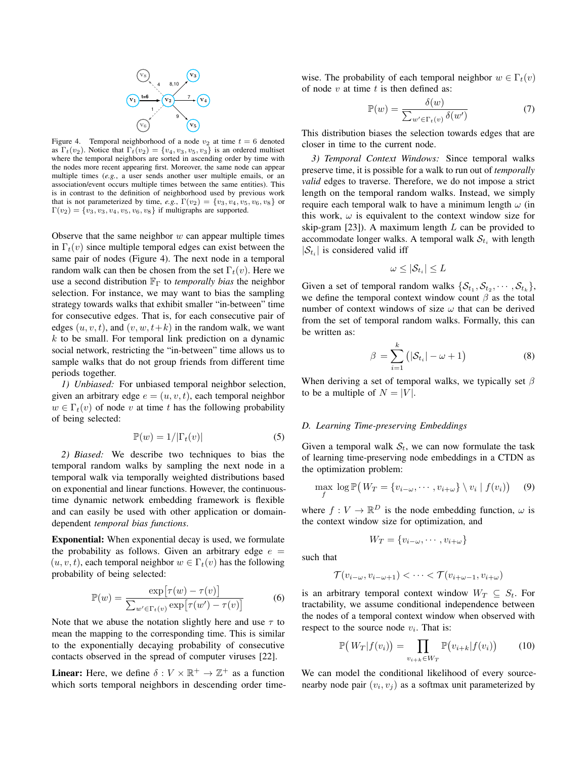

Figure 4. Temporal neighborhood of a node  $v_2$  at time  $t = 6$  denoted as  $\Gamma_t(v_2)$ . Notice that  $\Gamma_t(v_2) = \{v_4, v_3, v_5, v_3\}$  is an ordered multiset where the temporal neighbors are sorted in ascending order by time with the nodes more recent appearing first. Moreover, the same node can appear multiple times (*e.g.*, a user sends another user multiple emails, or an association/event occurs multiple times between the same entities). This is in contrast to the definition of neighborhood used by previous work that is not parameterized by time, *e.g.*,  $\Gamma(v_2) = \{v_3, v_4, v_5, v_6, v_8\}$  or  $\Gamma(v_2) = \{v_3, v_3, v_4, v_5, v_6, v_8\}$  if multigraphs are supported.

Observe that the same neighbor  $w$  can appear multiple times in  $\Gamma_t(v)$  since multiple temporal edges can exist between the same pair of nodes (Figure 4). The next node in a temporal random walk can then be chosen from the set  $\Gamma_t(v)$ . Here we use a second distribution  $\mathbb{F}_{\Gamma}$  to *temporally bias* the neighbor selection. For instance, we may want to bias the sampling strategy towards walks that exhibit smaller "in-between" time for consecutive edges. That is, for each consecutive pair of edges  $(u, v, t)$ , and  $(v, w, t+k)$  in the random walk, we want  $k$  to be small. For temporal link prediction on a dynamic social network, restricting the "in-between" time allows us to sample walks that do not group friends from different time periods together.

*1) Unbiased:* For unbiased temporal neighbor selection, given an arbitrary edge  $e = (u, v, t)$ , each temporal neighbor  $w \in \Gamma_t(v)$  of node v at time t has the following probability of being selected:

$$
\mathbb{P}(w) = 1/|\Gamma_t(v)| \tag{5}
$$

*2) Biased:* We describe two techniques to bias the temporal random walks by sampling the next node in a temporal walk via temporally weighted distributions based on exponential and linear functions. However, the continuoustime dynamic network embedding framework is flexible and can easily be used with other application or domaindependent *temporal bias functions*.

Exponential: When exponential decay is used, we formulate the probability as follows. Given an arbitrary edge  $e =$  $(u, v, t)$ , each temporal neighbor  $w \in \Gamma_t(v)$  has the following probability of being selected:

$$
\mathbb{P}(w) = \frac{\exp[\tau(w) - \tau(v)]}{\sum_{w' \in \Gamma_t(v)} \exp[\tau(w') - \tau(v)]}
$$
(6)

Note that we abuse the notation slightly here and use  $\tau$  to mean the mapping to the corresponding time. This is similar to the exponentially decaying probability of consecutive contacts observed in the spread of computer viruses [22].

**Linear:** Here, we define  $\delta: V \times \mathbb{R}^+ \to \mathbb{Z}^+$  as a function which sorts temporal neighbors in descending order timewise. The probability of each temporal neighbor  $w \in \Gamma_t(v)$ of node  $v$  at time  $t$  is then defined as:

$$
\mathbb{P}(w) = \frac{\delta(w)}{\sum_{w' \in \Gamma_t(v)} \delta(w')} \tag{7}
$$

This distribution biases the selection towards edges that are closer in time to the current node.

*3) Temporal Context Windows:* Since temporal walks preserve time, it is possible for a walk to run out of *temporally valid* edges to traverse. Therefore, we do not impose a strict length on the temporal random walks. Instead, we simply require each temporal walk to have a minimum length  $\omega$  (in this work,  $\omega$  is equivalent to the context window size for skip-gram  $[23]$ ). A maximum length L can be provided to accommodate longer walks. A temporal walk  $S_{t_i}$  with length  $|\mathcal{S}_{t_i}|$  is considered valid iff

$$
\omega \leq |\mathcal{S}_{t_i}| \leq L
$$

Given a set of temporal random walks  $\{S_{t_1}, S_{t_2}, \cdots, S_{t_k}\},$ we define the temporal context window count  $\beta$  as the total number of context windows of size  $\omega$  that can be derived from the set of temporal random walks. Formally, this can be written as:

$$
\beta = \sum_{i=1}^{k} (|\mathcal{S}_{t_i}| - \omega + 1)
$$
 (8)

When deriving a set of temporal walks, we typically set  $\beta$ to be a multiple of  $N = |V|$ .

## *D. Learning Time-preserving Embeddings*

Given a temporal walk  $S_t$ , we can now formulate the task of learning time-preserving node embeddings in a CTDN as the optimization problem:

$$
\max_{f} \log \mathbb{P}\left(W_T = \{v_{i-\omega}, \cdots, v_{i+\omega}\} \setminus v_i \mid f(v_i)\right) \quad (9)
$$

where  $f: V \to \mathbb{R}^D$  is the node embedding function,  $\omega$  is the context window size for optimization, and

$$
W_T = \{v_{i-\omega}, \cdots, v_{i+\omega}\}
$$

such that

$$
\mathcal{T}(v_{i-\omega}, v_{i-\omega+1}) < \cdots < \mathcal{T}(v_{i+\omega-1}, v_{i+\omega})
$$

is an arbitrary temporal context window  $W_T \subseteq S_t$ . For tractability, we assume conditional independence between the nodes of a temporal context window when observed with respect to the source node  $v_i$ . That is:

$$
\mathbb{P}\big(W_T|f(v_i)\big) = \prod_{v_{i+k} \in W_T} \mathbb{P}\big(v_{i+k}|f(v_i)\big) \tag{10}
$$

We can model the conditional likelihood of every sourcenearby node pair  $(v_i, v_j)$  as a softmax unit parameterized by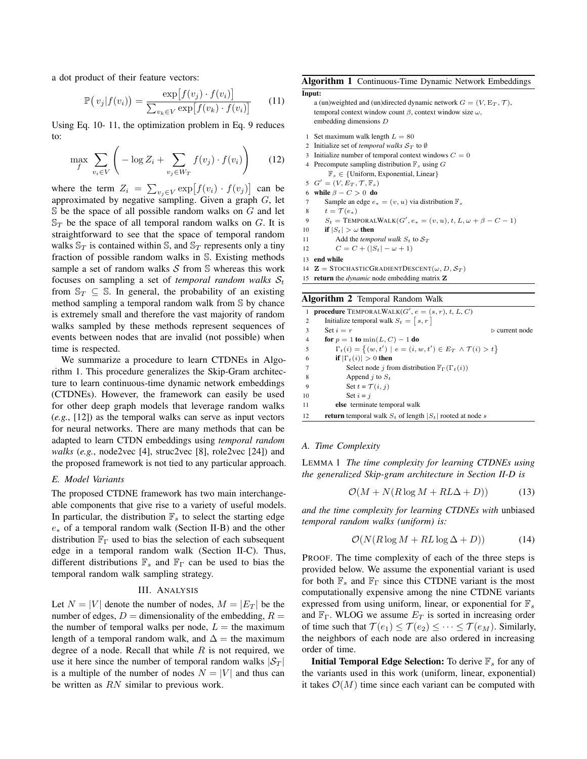a dot product of their feature vectors:

$$
\mathbb{P}(v_j|f(v_i)) = \frac{\exp[f(v_j) \cdot f(v_i)]}{\sum_{v_k \in V} \exp[f(v_k) \cdot f(v_i)]}
$$
(11)

Using Eq. 10- 11, the optimization problem in Eq. 9 reduces to:

$$
\max_{f} \sum_{v_i \in V} \left( -\log Z_i + \sum_{v_j \in W_T} f(v_j) \cdot f(v_i) \right) \tag{12}
$$

where the term  $Z_i = \sum_{v_j \in V} \exp[f(v_i) \cdot f(v_j)]$  can be approximated by negative sampling. Given a graph  $G$ , let  $\mathbb S$  be the space of all possible random walks on G and let  $\mathbb{S}_T$  be the space of all temporal random walks on G. It is straightforward to see that the space of temporal random walks  $\mathbb{S}_T$  is contained within  $\mathbb{S}$ , and  $\mathbb{S}_T$  represents only a tiny fraction of possible random walks in S. Existing methods sample a set of random walks  $S$  from  $S$  whereas this work focuses on sampling a set of *temporal random walks*  $S_t$ from  $\mathbb{S}_T \subseteq \mathbb{S}$ . In general, the probability of an existing method sampling a temporal random walk from S by chance is extremely small and therefore the vast majority of random walks sampled by these methods represent sequences of events between nodes that are invalid (not possible) when time is respected.

We summarize a procedure to learn CTDNEs in Algorithm 1. This procedure generalizes the Skip-Gram architecture to learn continuous-time dynamic network embeddings (CTDNEs). However, the framework can easily be used for other deep graph models that leverage random walks (*e.g.*, [12]) as the temporal walks can serve as input vectors for neural networks. There are many methods that can be adapted to learn CTDN embeddings using *temporal random walks* (*e.g.*, node2vec [4], struc2vec [8], role2vec [24]) and the proposed framework is not tied to any particular approach.

#### *E. Model Variants*

The proposed CTDNE framework has two main interchangeable components that give rise to a variety of useful models. In particular, the distribution  $\mathbb{F}_s$  to select the starting edge e<sup>∗</sup> of a temporal random walk (Section II-B) and the other distribution  $\mathbb{F}_{\Gamma}$  used to bias the selection of each subsequent edge in a temporal random walk (Section II-C). Thus, different distributions  $\mathbb{F}_s$  and  $\mathbb{F}_\Gamma$  can be used to bias the temporal random walk sampling strategy.

## III. ANALYSIS

Let  $N = |V|$  denote the number of nodes,  $M = |E_T|$  be the number of edges,  $D =$  dimensionality of the embedding,  $R =$ the number of temporal walks per node,  $L =$  the maximum length of a temporal random walk, and  $\Delta$  = the maximum degree of a node. Recall that while  $R$  is not required, we use it here since the number of temporal random walks  $|\mathcal{S}_T|$ is a multiple of the number of nodes  $N = |V|$  and thus can be written as RN similar to previous work.

Algorithm 1 Continuous-Time Dynamic Network Embeddings

```
Input:
```

```
a (un)weighted and (un)directed dynamic network G = (V, E_T, \mathcal{T}),temporal context window count β, context window size ω,
embedding dimensions D
```
- 1 Set maximum walk length  $L = 80$
- 2 Initialize set of *temporal walks*  $S_T$  to Ø
- 3 Initialize number of temporal context windows  $C = 0$
- 4 Precompute sampling distribution  $\mathbb{F}_s$  using G  $\mathbb{F}_s \in \{\text{Uniform, Exponential, Linear}\}\$
- 5  $G' = (V, E_T, \mathcal{T}, \mathbb{F}_s)$
- 6 while  $\beta C > 0$  do
- 7 Sample an edge  $e_* = (v, u)$  via distribution  $\mathbb{F}_s$
- 8  $t = \mathcal{T}(e_*)$
- 9  $S_t = \text{TemporalkWALK}(G', e_* = (v, u), t, L, \omega + \beta C 1)$
- 10 if  $|S_t| > \omega$  then
- 11 Add the *temporal walk*  $S_t$  to  $S_T$
- 12  $C = C + (|S_t| \omega + 1)$
- 13 end while
- 14  $\mathbf{Z} =$  STOCHASTICGRADIENTDESCENT $(\omega, D, \mathcal{S}_T)$
- 15 return the *dynamic* node embedding matrix Z

#### Algorithm 2 Temporal Random Walk

| 1              | <b>procedure</b> TEMPORALWALK $(G', e = (s, r), t, L, C)$                        |                               |
|----------------|----------------------------------------------------------------------------------|-------------------------------|
| $\overline{2}$ | Initialize temporal walk $S_t = [s, r]$                                          |                               |
| 3              | Set $i = r$                                                                      | $\triangleright$ current node |
| $\overline{4}$ | for $p = 1$ to $\min(L, C) - 1$ do                                               |                               |
| 5              | $\Gamma_t(i) = \{(w, t') \mid e = (i, w, t') \in E_T \land \mathcal{T}(i) > t\}$ |                               |
| -6             | <b>if</b> $ \Gamma_t(i)  > 0$ then                                               |                               |
|                | Select node j from distribution $\mathbb{F}_{\Gamma}(\Gamma_t(i))$               |                               |
| 8              | Append j to $S_t$                                                                |                               |
| 9              | Set $t = \mathcal{T}(i, j)$                                                      |                               |
| 10             | Set $i = i$                                                                      |                               |
| 11             | else terminate temporal walk                                                     |                               |
| 12             | <b>return</b> temporal walk $S_t$ of length $ S_t $ rooted at node s             |                               |
|                |                                                                                  |                               |

## *A. Time Complexity*

LEMMA 1 *The time complexity for learning CTDNEs using the generalized Skip-gram architecture in Section II-D is*

$$
\mathcal{O}(M + N(R\log M + RL\Delta + D))\tag{13}
$$

*and the time complexity for learning CTDNEs with* unbiased *temporal random walks (uniform) is:*

$$
\mathcal{O}(N(R\log M + RL\log \Delta + D))\tag{14}
$$

PROOF. The time complexity of each of the three steps is provided below. We assume the exponential variant is used for both  $\mathbb{F}_s$  and  $\mathbb{F}_\Gamma$  since this CTDNE variant is the most computationally expensive among the nine CTDNE variants expressed from using uniform, linear, or exponential for  $\mathbb{F}_s$ and  $\mathbb{F}_{\Gamma}$ . WLOG we assume  $E_T$  is sorted in increasing order of time such that  $\mathcal{T}(e_1) \leq \mathcal{T}(e_2) \leq \cdots \leq \mathcal{T}(e_M)$ . Similarly, the neighbors of each node are also ordered in increasing order of time.

**Initial Temporal Edge Selection:** To derive  $\mathbb{F}_s$  for any of the variants used in this work (uniform, linear, exponential) it takes  $\mathcal{O}(M)$  time since each variant can be computed with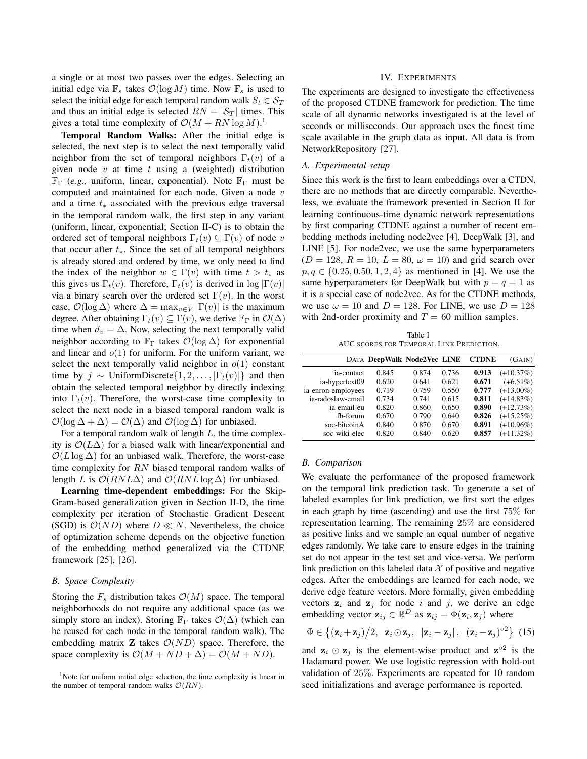a single or at most two passes over the edges. Selecting an initial edge via  $\mathbb{F}_s$  takes  $\mathcal{O}(\log M)$  time. Now  $\mathbb{F}_s$  is used to select the initial edge for each temporal random walk  $S_t \in S_T$ and thus an initial edge is selected  $RN = |\mathcal{S}_T|$  times. This gives a total time complexity of  $\mathcal{O}(M + RN \log M)$ .<sup>1</sup>

Temporal Random Walks: After the initial edge is selected, the next step is to select the next temporally valid neighbor from the set of temporal neighbors  $\Gamma_t(v)$  of a given node  $v$  at time  $t$  using a (weighted) distribution  $\mathbb{F}_{\Gamma}$  (*e.g.*, uniform, linear, exponential). Note  $\mathbb{F}_{\Gamma}$  must be computed and maintained for each node. Given a node  $v$ and a time  $t_*$  associated with the previous edge traversal in the temporal random walk, the first step in any variant (uniform, linear, exponential; Section II-C) is to obtain the ordered set of temporal neighbors  $\Gamma_t(v) \subseteq \Gamma(v)$  of node v that occur after  $t_$ <sup>\*</sup>. Since the set of all temporal neighbors is already stored and ordered by time, we only need to find the index of the neighbor  $w \in \Gamma(v)$  with time  $t > t_*$  as this gives us  $\Gamma_t(v)$ . Therefore,  $\Gamma_t(v)$  is derived in log  $|\Gamma(v)|$ via a binary search over the ordered set  $\Gamma(v)$ . In the worst case,  $\mathcal{O}(\log \Delta)$  where  $\Delta = \max_{v \in V} |\Gamma(v)|$  is the maximum degree. After obtaining  $\Gamma_t(v) \subseteq \Gamma(v)$ , we derive  $\mathbb{F}_{\Gamma}$  in  $\mathcal{O}(\Delta)$ time when  $d_v = \Delta$ . Now, selecting the next temporally valid neighbor according to  $\mathbb{F}_{\Gamma}$  takes  $\mathcal{O}(\log \Delta)$  for exponential and linear and  $o(1)$  for uniform. For the uniform variant, we select the next temporally valid neighbor in  $o(1)$  constant time by  $j \sim$  UniformDiscrete $\{1, 2, \ldots, |\Gamma_t(v)|\}$  and then obtain the selected temporal neighbor by directly indexing into  $\Gamma_t(v)$ . Therefore, the worst-case time complexity to select the next node in a biased temporal random walk is  $\mathcal{O}(\log \Delta + \Delta) = \mathcal{O}(\Delta)$  and  $\mathcal{O}(\log \Delta)$  for unbiased.

For a temporal random walk of length  $L$ , the time complexity is  $\mathcal{O}(L\Delta)$  for a biased walk with linear/exponential and  $\mathcal{O}(L \log \Delta)$  for an unbiased walk. Therefore, the worst-case time complexity for RN biased temporal random walks of length L is  $\mathcal{O}(RNL\Delta)$  and  $\mathcal{O}(RNL\log \Delta)$  for unbiased.

Learning time-dependent embeddings: For the Skip-Gram-based generalization given in Section II-D, the time complexity per iteration of Stochastic Gradient Descent (SGD) is  $\mathcal{O}(ND)$  where  $D \ll N$ . Nevertheless, the choice of optimization scheme depends on the objective function of the embedding method generalized via the CTDNE framework [25], [26].

#### *B. Space Complexity*

Storing the  $F_s$  distribution takes  $\mathcal{O}(M)$  space. The temporal neighborhoods do not require any additional space (as we simply store an index). Storing  $\mathbb{F}_{\Gamma}$  takes  $\mathcal{O}(\Delta)$  (which can be reused for each node in the temporal random walk). The embedding matrix **Z** takes  $\mathcal{O}(ND)$  space. Therefore, the space complexity is  $\mathcal{O}(M + ND + \Delta) = \mathcal{O}(M + ND)$ .

#### IV. EXPERIMENTS

The experiments are designed to investigate the effectiveness of the proposed CTDNE framework for prediction. The time scale of all dynamic networks investigated is at the level of seconds or milliseconds. Our approach uses the finest time scale available in the graph data as input. All data is from NetworkRepository [27].

#### *A. Experimental setup*

Since this work is the first to learn embeddings over a CTDN, there are no methods that are directly comparable. Nevertheless, we evaluate the framework presented in Section II for learning continuous-time dynamic network representations by first comparing CTDNE against a number of recent embedding methods including node2vec [4], DeepWalk [3], and LINE [5]. For node2vec, we use the same hyperparameters  $(D = 128, R = 10, L = 80, \omega = 10)$  and grid search over  $p, q \in \{0.25, 0.50, 1, 2, 4\}$  as mentioned in [4]. We use the same hyperparameters for DeepWalk but with  $p = q = 1$  as it is a special case of node2vec. As for the CTDNE methods, we use  $\omega = 10$  and  $D = 128$ . For LINE, we use  $D = 128$ with 2nd-order proximity and  $T = 60$  million samples.

Table I AUC SCORES FOR TEMPORAL LINK PREDICTION.

|                    | DATA DeepWalk Node2Vec LINE |       |       | <b>CTDNE</b> | (GAIN)       |
|--------------------|-----------------------------|-------|-------|--------------|--------------|
| ia-contact         | 0.845                       | 0.874 | 0.736 | 0.913        | $(+10.37%)$  |
| ia-hypertext09     | 0.620                       | 0.641 | 0.621 | 0.671        | $(+6.51\%)$  |
| ia-enron-employees | 0.719                       | 0.759 | 0.550 | 0.777        | $(+13.00\%)$ |
| ia-radoslaw-email  | 0.734                       | 0.741 | 0.615 | 0.811        | $(+14.83%)$  |
| ia-email-eu        | 0.820                       | 0.860 | 0.650 | 0.890        | $(+12.73%)$  |
| fb-forum           | 0.670                       | 0.790 | 0.640 | 0.826        | $(+15.25%)$  |
| soc-bitcoinA       | 0.840                       | 0.870 | 0.670 | 0.891        | $(+10.96\%)$ |
| soc-wiki-elec      | 0.820                       | 0.840 | 0.620 | 0.857        | $(+11.32\%)$ |

## *B. Comparison*

We evaluate the performance of the proposed framework on the temporal link prediction task. To generate a set of labeled examples for link prediction, we first sort the edges in each graph by time (ascending) and use the first 75% for representation learning. The remaining 25% are considered as positive links and we sample an equal number of negative edges randomly. We take care to ensure edges in the training set do not appear in the test set and vice-versa. We perform link prediction on this labeled data  $X$  of positive and negative edges. After the embeddings are learned for each node, we derive edge feature vectors. More formally, given embedding vectors  $z_i$  and  $z_j$  for node i and j, we derive an edge embedding vector  $\mathbf{z}_{ij} \in \mathbb{R}^D$  as  $\mathbf{z}_{ij} = \Phi(\mathbf{z}_i, \mathbf{z}_j)$  where

$$
\Phi \in \left\{ (\mathbf{z}_i + \mathbf{z}_j)/2, \mathbf{z}_i \odot \mathbf{z}_j, \ |\mathbf{z}_i - \mathbf{z}_j|, \ (\mathbf{z}_i - \mathbf{z}_j)^{\circ 2} \right\} (15)
$$

and  $z_i \odot z_j$  is the element-wise product and  $z^{\circ 2}$  is the Hadamard power. We use logistic regression with hold-out validation of 25%. Experiments are repeated for 10 random seed initializations and average performance is reported.

<sup>&</sup>lt;sup>1</sup>Note for uniform initial edge selection, the time complexity is linear in the number of temporal random walks  $\mathcal{O}(RN)$ .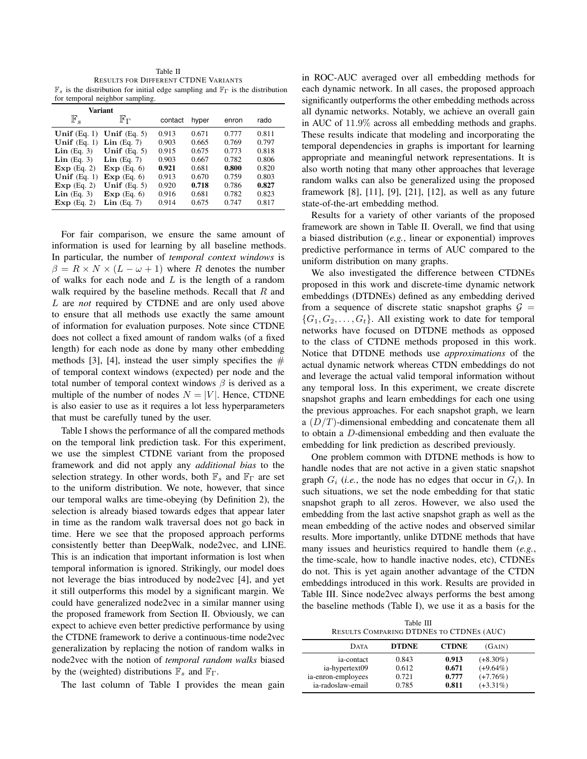Table II RESULTS FOR DIFFERENT CTDNE VARIANTS  $\mathbb{F}_s$  is the distribution for initial edge sampling and  $\mathbb{F}_\Gamma$  is the distribution for temporal neighbor sampling.

| Variant                |                        |         |       |       |       |
|------------------------|------------------------|---------|-------|-------|-------|
| $\mathbb{F}_s$         | ${\mathbb F}_{\Gamma}$ | contact | hyper | enron | rado  |
| Unif $(Eq. 1)$         | Unif $(Eq. 5)$         | 0.913   | 0.671 | 0.777 | 0.811 |
| Unif $(Eq. 1)$         | $Lin$ (Eq. 7)          | 0.903   | 0.665 | 0.769 | 0.797 |
| $Lin$ (Eq. 3)          | Unif $(Eq. 5)$         | 0.915   | 0.675 | 0.773 | 0.818 |
| $\mathbf{Lin}$ (Eq. 3) | $Lin$ (Eq. 7)          | 0.903   | 0.667 | 0.782 | 0.806 |
| Exp(Eq, 2)             | Exp(Eq. 6)             | 0.921   | 0.681 | 0.800 | 0.820 |
| Unif $(Eq. 1)$         | Exp(Eq. 6)             | 0.913   | 0.670 | 0.759 | 0.803 |
| Exp(Eq. 2)             | Unif $(Eq. 5)$         | 0.920   | 0.718 | 0.786 | 0.827 |
| $\mathbf{Lin}$ (Eq. 3) | Exp(Eq. 6)             | 0.916   | 0.681 | 0.782 | 0.823 |
| Exp(Eq. 2)             | $Lin$ (Eq. 7)          | 0.914   | 0.675 | 0.747 | 0.817 |

For fair comparison, we ensure the same amount of information is used for learning by all baseline methods. In particular, the number of *temporal context windows* is  $\beta = R \times N \times (L - \omega + 1)$  where R denotes the number of walks for each node and  $L$  is the length of a random walk required by the baseline methods. Recall that  $R$  and L are *not* required by CTDNE and are only used above to ensure that all methods use exactly the same amount of information for evaluation purposes. Note since CTDNE does not collect a fixed amount of random walks (of a fixed length) for each node as done by many other embedding methods [3], [4], instead the user simply specifies the  $#$ of temporal context windows (expected) per node and the total number of temporal context windows  $\beta$  is derived as a multiple of the number of nodes  $N = |V|$ . Hence, CTDNE is also easier to use as it requires a lot less hyperparameters that must be carefully tuned by the user.

Table I shows the performance of all the compared methods on the temporal link prediction task. For this experiment, we use the simplest CTDNE variant from the proposed framework and did not apply any *additional bias* to the selection strategy. In other words, both  $\mathbb{F}_s$  and  $\mathbb{F}_\Gamma$  are set to the uniform distribution. We note, however, that since our temporal walks are time-obeying (by Definition 2), the selection is already biased towards edges that appear later in time as the random walk traversal does not go back in time. Here we see that the proposed approach performs consistently better than DeepWalk, node2vec, and LINE. This is an indication that important information is lost when temporal information is ignored. Strikingly, our model does not leverage the bias introduced by node2vec [4], and yet it still outperforms this model by a significant margin. We could have generalized node2vec in a similar manner using the proposed framework from Section II. Obviously, we can expect to achieve even better predictive performance by using the CTDNE framework to derive a continuous-time node2vec generalization by replacing the notion of random walks in node2vec with the notion of *temporal random walks* biased by the (weighted) distributions  $\mathbb{F}_s$  and  $\mathbb{F}_{\Gamma}$ .

The last column of Table I provides the mean gain

in ROC-AUC averaged over all embedding methods for each dynamic network. In all cases, the proposed approach significantly outperforms the other embedding methods across all dynamic networks. Notably, we achieve an overall gain in AUC of 11.9% across all embedding methods and graphs. These results indicate that modeling and incorporating the temporal dependencies in graphs is important for learning appropriate and meaningful network representations. It is also worth noting that many other approaches that leverage random walks can also be generalized using the proposed framework [8], [11], [9], [21], [12], as well as any future state-of-the-art embedding method.

Results for a variety of other variants of the proposed framework are shown in Table II. Overall, we find that using a biased distribution (*e.g.*, linear or exponential) improves predictive performance in terms of AUC compared to the uniform distribution on many graphs.

We also investigated the difference between CTDNEs proposed in this work and discrete-time dynamic network embeddings (DTDNEs) defined as any embedding derived from a sequence of discrete static snapshot graphs  $\mathcal{G}$  =  ${G_1, G_2, \ldots, G_t}$ . All existing work to date for temporal networks have focused on DTDNE methods as opposed to the class of CTDNE methods proposed in this work. Notice that DTDNE methods use *approximations* of the actual dynamic network whereas CTDN embeddings do not and leverage the actual valid temporal information without any temporal loss. In this experiment, we create discrete snapshot graphs and learn embeddings for each one using the previous approaches. For each snapshot graph, we learn a  $(D/T)$ -dimensional embedding and concatenate them all to obtain a D-dimensional embedding and then evaluate the embedding for link prediction as described previously.

One problem common with DTDNE methods is how to handle nodes that are not active in a given static snapshot graph  $G_i$  (*i.e.*, the node has no edges that occur in  $G_i$ ). In such situations, we set the node embedding for that static snapshot graph to all zeros. However, we also used the embedding from the last active snapshot graph as well as the mean embedding of the active nodes and observed similar results. More importantly, unlike DTDNE methods that have many issues and heuristics required to handle them (*e.g.*, the time-scale, how to handle inactive nodes, etc), CTDNEs do not. This is yet again another advantage of the CTDN embeddings introduced in this work. Results are provided in Table III. Since node2vec always performs the best among the baseline methods (Table I), we use it as a basis for the

Table III RESULTS COMPARING DTDNES TO CTDNES (AUC)

| <b>DATA</b>                                                             | <b>DTDNE</b>                     | <b>CTDNE</b>                     | (GAIN)                                                  |  |
|-------------------------------------------------------------------------|----------------------------------|----------------------------------|---------------------------------------------------------|--|
| ia-contact<br>ia-hypertext09<br>ia-enron-employees<br>ia-radoslaw-email | 0.843<br>0.612<br>0.721<br>0.785 | 0.913<br>0.671<br>0.777<br>0.811 | $(+8.30\%)$<br>$(+9.64\%)$<br>$(+7.76%)$<br>$(+3.31\%)$ |  |
|                                                                         |                                  |                                  |                                                         |  |